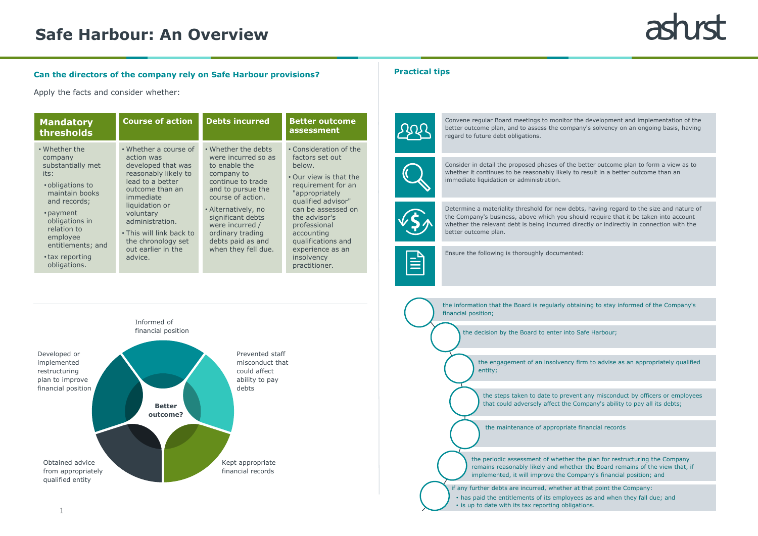the engagement of an insolvency firm to advise as an appropriately qualified

the steps taken to date to prevent any misconduct by officers or employees that could adversely affect the Company's ability to pay all its debts;

the periodic assessment of whether the plan for restructuring the Company remains reasonably likely and whether the Board remains of the view that, if



### **Can the directors of the company rely on Safe Harbour provisions?**

Apply the facts and consider whether:

## **Safe Harbour: An Overview**

#### **Practical tips**



| • Whether the<br>company<br>substantially met<br>its:<br>• obligations to<br>maintain books<br>and records;    |                                                                                                                                                                                                                                                                            |                                                                                                                                                                                                                                                                         |                                                                                                                                                                                                                                                                                           |
|----------------------------------------------------------------------------------------------------------------|----------------------------------------------------------------------------------------------------------------------------------------------------------------------------------------------------------------------------------------------------------------------------|-------------------------------------------------------------------------------------------------------------------------------------------------------------------------------------------------------------------------------------------------------------------------|-------------------------------------------------------------------------------------------------------------------------------------------------------------------------------------------------------------------------------------------------------------------------------------------|
| • payment<br>obligations in<br>relation to<br>employee<br>entitlements; and<br>• tax reporting<br>obligations. | • Whether a course of<br>action was<br>developed that was<br>reasonably likely to<br>lead to a better<br>outcome than an<br>immediate<br>liquidation or<br>voluntary<br>administration.<br>• This will link back to<br>the chronology set<br>out earlier in the<br>advice. | • Whether the debts<br>were incurred so as<br>to enable the<br>company to<br>continue to trade<br>and to pursue the<br>course of action.<br>• Alternatively, no<br>significant debts<br>were incurred /<br>ordinary trading<br>debts paid as and<br>when they fell due. | • Consideration of the<br>factors set out<br>below.<br>• Our view is that the<br>requirement for an<br>"appropriately<br>qualified advisor"<br>can be assessed on<br>the advisor's<br>professional<br>accounting<br>qualifications and<br>experience as an<br>insolvency<br>practitioner. |



Convene regular Board meetings to monitor the development and implementation of the better outcome plan, and to assess the company's solvency on an ongoing basis, having regard to future debt obligations.



Consider in detail the proposed phases of the better outcome plan to form a view as to whether it continues to be reasonably likely to result in a better outcome than an immediate liquidation or administration.



Determine a materiality threshold for new debts, having regard to the size and nature of the Company's business, above which you should require that it be taken into account whether the relevant debt is being incurred directly or indirectly in connection with the better outcome plan.

Ë

Ensure the following is thoroughly documented: